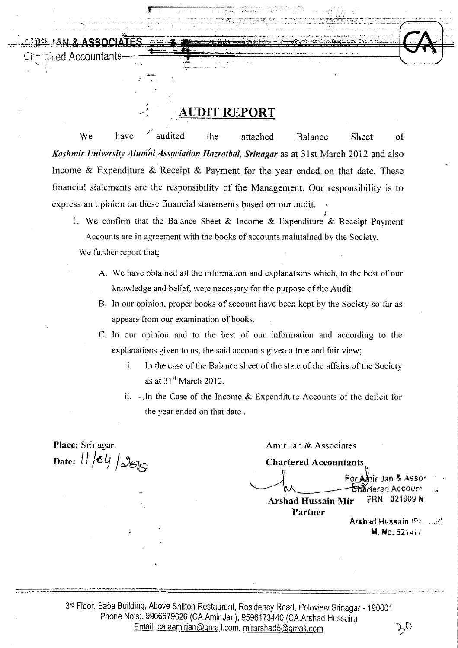# **- AUDIT REPORT**

 $\frac{1}{2}$   $\frac{1}{2}$   $\frac{1}{2}$   $\frac{1}{2}$   $\frac{1}{2}$   $\frac{1}{2}$   $\frac{1}{2}$   $\frac{1}{2}$   $\frac{1}{2}$   $\frac{1}{2}$   $\frac{1}{2}$   $\frac{1}{2}$   $\frac{1}{2}$ 

 $\frac{1}{\log_{10} \frac{1}{\log_{10} \frac{1}{\log_{10} \frac{1}{\log_{10} \frac{1}{\log_{10} \frac{1}{\log_{10} \frac{1}{\log_{10} \frac{1}{\log_{10} \frac{1}{\log_{10} \frac{1}{\log_{10} \frac{1}{\log_{10} \frac{1}{\log_{10} \frac{1}{\log_{10} \frac{1}{\log_{10} \frac{1}{\log_{10} \frac{1}{\log_{10} \frac{1}{\log_{10} \frac{1}{\log_{10} \frac{1}{\log_{10} \frac{1}{\log_{10}$ 

 $\mathbb{R}$  -defined as a set of the set of the set of the set of the set of the set of the set of the set of the set of the set of the set of the set of the set of the set of the set of the set of the set of the set of the

, /

We have audited the attached Balance Sheet of Kashmir University Alumni Association Hazratbal, Srinagar as at 31st March 2012 and also Income  $\&$  Expenditure  $\&$  Receipt  $\&$  Payment for the year ended on that date. These financial statements are the responsibility of the Management. Our responsibility is to express an opinion on these financial statements based on our audit.

- 1. We confirm that the Balance Sheet & Income & Expenditure & Receipt Payment Accounts are in agreement with the books of accounts maintained by the Society. We further report that;
	- A. We have obtained all the information and explanations which, to the best of our knowledge and belief, were necessary for the purpose of the Audit.
	- B. In our opinion, proper books of account have been kept by the Society so far as appears from our examination of books.
	- C. In our opinion and to the best of our information and according to the explanations given to us, the said accounts given a true and fair view;
		- i. In the case of the Balance sheet of the state of the affairs of the Society as at  $31<sup>st</sup>$  March 2012.
		- ii. *r* In the Case of the Income & Expenditure Accounts of the deficit for the year ended on that date.

**Place:** Srinagar.  $\Delta$ Date:  $11/64/266$ 

'-

िed Accountants

Amir Jan & Associates

**Chartered Accountants**   $\int$  For Alhir Jan & Assor For Alhir Jan & Asso<br>- Chartered Accoun-<br>fir - FRN - 021909 N **Arshad Hussain Mir Partner** 

Arshad Hussain (P; ... .:r) M. No. 521+i /

3rd Floor, Baba Building, Above Shilton Restaurant, Residency Road, Poloview, Srinagar - 190001 Phone No's:. 9906679626 (CA.Amir Jan), 9596173440 (CA.Arshad Hussain) Email: ca.aamirjan@gmail.com, mirarshad5@gmail.com (Ca.aamirjan@gmail.com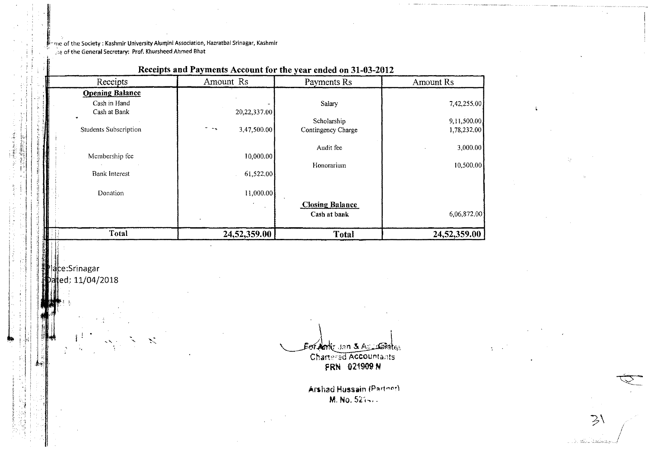me of the Society: Kashmir University Alumini Association, Hazratbal Srinagar, Kashmir the of the General Secretary: Prof. Khursheed Ahmed Bhat

 $\mathbb{R}$ 

### Receipts and Payments Account for the year ended on 31-03-2012

| Amount Rs    | Payments Rs                                      | <b>Amount Rs</b>                                                                       |
|--------------|--------------------------------------------------|----------------------------------------------------------------------------------------|
|              |                                                  |                                                                                        |
|              | Salary                                           | 7,42,255.00                                                                            |
| 20,22,337.00 |                                                  |                                                                                        |
|              |                                                  | 9,11,500.00                                                                            |
|              |                                                  | 1,78,232.00                                                                            |
|              |                                                  |                                                                                        |
|              |                                                  | 3,000.00                                                                               |
|              |                                                  | 10,500.00                                                                              |
| 61,522.00    |                                                  |                                                                                        |
| 11,000.00    |                                                  |                                                                                        |
|              |                                                  |                                                                                        |
|              | Cash at bank                                     | 6,06,872.00                                                                            |
| 24,52,359.00 | <b>Total</b>                                     | 24,52,359.00                                                                           |
|              | 3,47,500.00<br>$\sigma_{\rm c}$ and<br>10,000.00 | Scholarship<br>Contingency Charge<br>Audit fee<br>Honorarium<br><b>Closing Balance</b> |

ace:Srinagar ated: 11/04/2018

Bordonic Jan & Assertation Chartered Accountants

FRN 021909 N

Arshad Hussain (Partnor) M. No. 521-1.

 $\geq$ 

. K. dina limbang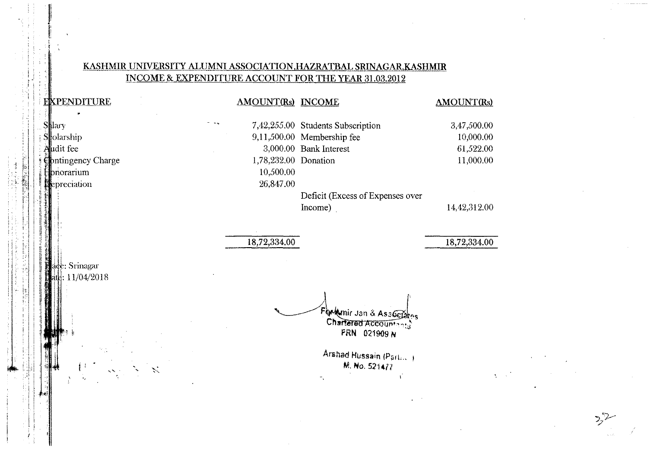### KASHMIR UNIVERSITY ALUMNI ASSOCIATION, HAZRATBAL SRINAGAR, KASHMIR INCOME & EXPENDITURE ACCOUNT FOR THE YEAR 31.03.2012

### EXPENDITURE **AMOUNT(Rs) INCOME AMOUNT(Rs)**  $\bullet$ Shlary 7,42,255.00 Students Subscription 3,47,500.00 Stolarship 9,11,500.00 Membership fee 10,000.00 Audit fee 3,000.00 Bank Interest 61,522.00 Contingency Charge 1,78,232.00 Donation 11,000.00 Honorarium 10,500.00 **Repreciation** 26,847.00 Deficit (Excess of Expenses over Income) 14,42,312.00 18,72,334.00 18,72,334.00 ade: Srinagar  $\frac{1}{11/04/2018}$ Flockmir Jan & Associates FRN 021909 N Arshad Hussain (Partille) M. No. 521477  $\mathbf{r}$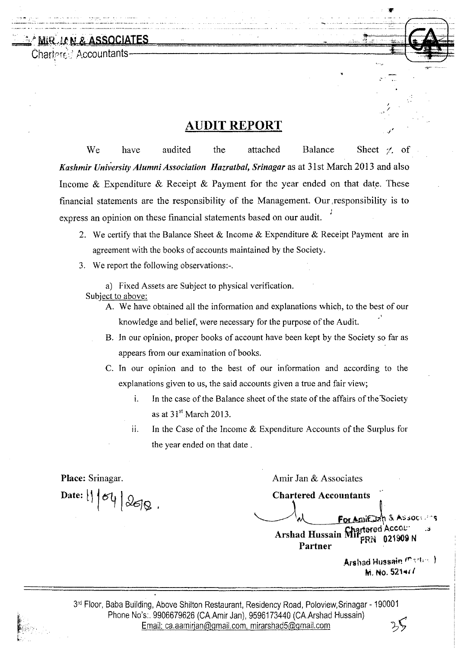~,. MtR,.lJ; ~t& **ASSOCIATES** 

Chartere: Accountants

*r er:,:.* 

# **AUDIT REPORT** .;'

We have audited the attached Balance Sheet  $\ell$ , of *Kashmir University Alumni Association Hazratbal, Srinagar* as at 31 st March 2013 and also Income & Expenditure & Receipt & Payment for the year ended on that date. These financial statements are the responsibility of the Management. Our ,responsibility is to express an opinion on these financial statements based on our audit.

- 2. We certify that the Balance Sheet  $\&$  Income  $\&$  Expenditure  $\&$  Receipt Payment are in agreement with the books of accounts maintained by the Society.
- 3. We report the following observations:-.

a) Fixed Assets are Subject to physical verification. Subject to above:

- A. We have obtained all the information and explanations which, to the best of our knowledge and belief, were necessary for the purpose of the Audit.
- B. In our opinion, proper books of account have been kept by the Society so far as appears from our examination of books.
- C. In our opinion and to the best of our information and according to the explanations given to us, the said accounts given a true and fair view;
	- i. In the case of the Balance sheet of the state of the affairs of the "Society as at  $31<sup>st</sup>$  March 2013.
	- ii. In the Case of the Income  $&$  Expenditure Accounts of the Surplus for the year ended on that date.

**Place:** Srinagar. **Amir Jan & Associates** Amir Jan & Associates Date:  $|| \cdot || \cdot || \cdot ||$   $\odot$   $\odot$   $\odot$ For Amicozh & Assoc  ${\tt Chartered}\, {\sf Acccur}$  . . Arshad Hussain Mir<sub>rRN</sub> 021909 N

**Partner** 

Arshad Hussain *(Martine.)* M. No. 521 •• , *I* 

"';'1,-----.- ....

*I*  ./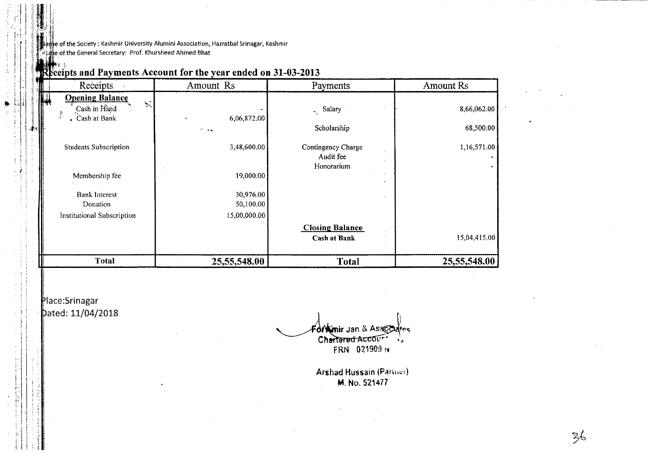the of the Society: Kashmir University Alumini Association, Hazratbal Srinagar, Kashmir the of the General Secretary: Prof. Khursheed Ahmed Bhat

| Receipts                                                          | Amount Rs                           | Payments                                      | <b>Amount Rs</b>         |
|-------------------------------------------------------------------|-------------------------------------|-----------------------------------------------|--------------------------|
| <b>Opening Balance</b><br>Cash in Hand<br>Cash at Bank<br>۰,<br>٠ | 6,06,872.00                         | $\sim$ Salary<br>Scholarship                  | 8,66,062.00<br>68,500.00 |
| <b>Students Subscription</b>                                      | 3,48,600.00                         | Contingency Charge<br>Audit fee<br>Honorarium | 1,16,571.00              |
| Membership fee<br><b>Bank Interest</b><br>Donation                | 19,000.00<br>30,976.00<br>50,100.00 | ÷                                             |                          |
| <b>Institutional Subscription</b>                                 | 15,00,000.00                        | <b>Closing Balance</b><br><b>Cash at Bank</b> | 15,04,415.00             |
| <b>Total</b>                                                      | 25,55,548.00                        | <b>Total</b>                                  | 25,55,548.00             |

# Receipts and Payments Account for the year ended on 31-03-2013

Place:Srinagar pated: 11/04/2018

-a)

Fortunir Jan & Associates

 $\frac{2}{5}$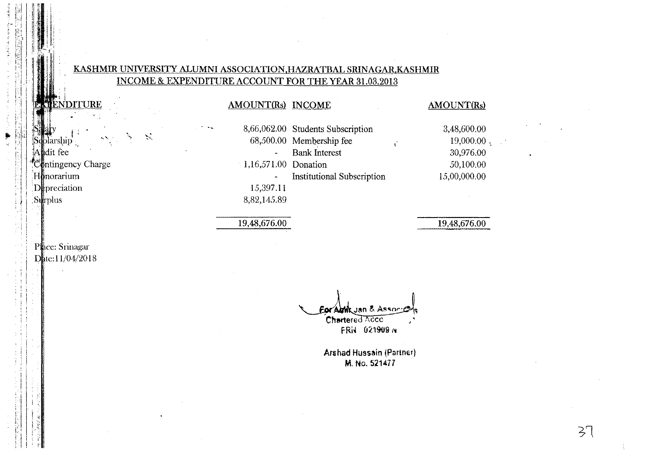### KASHMIR UNIVERSITY ALUMNI ASSOCIATION, HAZRATBAL SRINAGAR, KASHMIR INCOME & EXPENDITURE ACCOUNT FOR THE YEAR 31.03.2013

**AMOUNT(Rs) INCOME** 

### NDITURE

| Sέ | blarship              |
|----|-----------------------|
|    | Aldit fee             |
|    | Contingency Charge    |
|    | $H$ $\delta$ norarium |
|    | ${\rm D}$ preciation  |
|    | Surplus               |
|    |                       |

 $\mathcal{L}$ 

### 8,66,062.00 Students Subscription 68,500.00 Membership fee **Bank Interest** 1,16,571.00 Donation **Institutional Subscription**  $\frac{1}{2}$ 15,397.11 8,82,145.89

# 19,48,676.00

#### **AMOUNT(Rs)**

 $\mathbf{t}^{\star}$ 

3,48,600.00  $19,000.00$ , 30,976.00 50,100.00 15,00,000.00

19,48,676.00

### Place: Srinagar Date:11/04/2018

Eor Amik Jan & Assoc Chartered Acco FRN 021909 N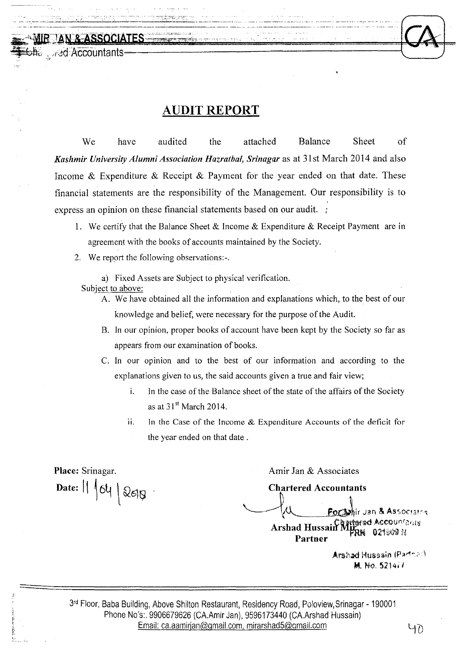# **AUDIT REPORT**

We have audited the attached Balance Sheet of *Kashmir University Alumni Association Hazratbal, Srinagar* as at 31st March 2014 and also Income & Expenditure & Receipt & Payment for the year ended on that date. These financial statements are the responsibility of the Management. Our responsibility is to , express an opinion on these financial statements based on our audit. :

- 1. We certify that the Balance Sheet & Income & Expenditure & Receipt Payment are in agreement with the books of accounts maintained by the Society.
- 2. We report the following observations:-.
	- a) Fixed Assets are Subject to physical verification. Subject to above:
		- A. We have obtained all the information and explanations which, to the best of our knowledge and belief, were necessary for the purpose of the Audit.
		- B. In our opinion, proper books of account have been kept by the Society so far as appears from our examination of books.
		- C. In our opinion and to the best of our information and according to the explanations given to us, the said accounts given a true and fair view;
			- i. In the case of the Balance sheet of the state of the affairs of the Society as at  $31<sup>st</sup>$  March 2014.
			- $11.$  In the Case of the Income & Expenditure Accounts of the deficit for the year ended on that date.

**Place:** Srinagar. Date:  $|| \nmid 64 \nmid 268$ 

MIR LAN REASSOCIATES

**off** and Accountants

Amir Jan & Associates

**Chartered Accountants** 

r Jan & Associatos artered Accounfants Arshad Hussain N 0219098 N Partner

Arshad Hussain (Partner) M. No. *5214ii* 

3<sup>rd</sup> Floor, Baba Building, Above Shilton Restaurant, Residency Road, Poloview, Srinagar - 190001 Phone No's:. 9906679626 (CA.Amir Jan), 9596173440 (CA.Arshad Hussain) Email: ca.aamirjan@gmail.com.mirarshad5@gmail.com ~O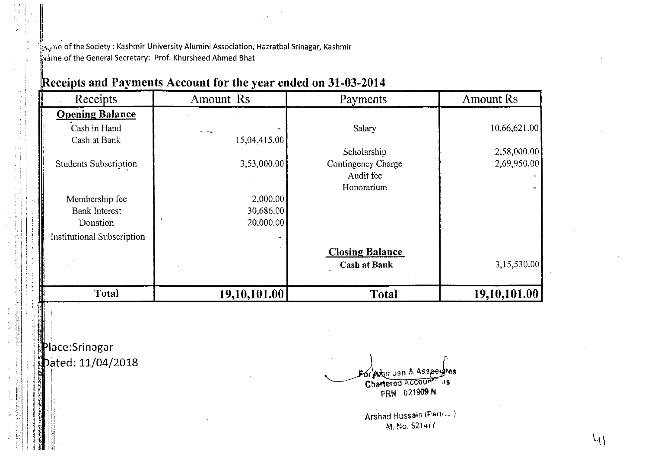$\frac{k}{2}$ <sub>ko</sub>rre of the Society: Kashmir University Alumini Association, Hazratbal Srinagar, Kashmir wame of the General Secretary: Prof. Khursheed Ahmed Bhat  $\mathbf{I}$ 

| <b>Receipts</b>                   | Amount Rs    | Payments               | <b>Amount Rs</b> |
|-----------------------------------|--------------|------------------------|------------------|
| <b>Opening Balance</b>            |              |                        |                  |
| Cash in Hand                      |              | Salary                 | 10,66,621.00     |
| Cash at Bank                      | 15,04,415.00 |                        |                  |
|                                   |              | Scholarship            | 2,58,000.00      |
| <b>Students Subscription</b>      | 3,53,000.00  | Contingency Charge     | 2,69,950.00      |
|                                   |              | Audit fee              |                  |
|                                   |              | Honorarium             |                  |
| Membership fee                    | 2,000.00     |                        |                  |
| <b>Bank Interest</b>              | 30,686.00    |                        |                  |
| Donation                          | 20,000.00    |                        |                  |
| <b>Institutional Subscription</b> |              |                        |                  |
|                                   |              | <b>Closing Balance</b> |                  |
|                                   |              | <b>Cash at Bank</b>    | 3,15,530.00      |
| <b>Total</b>                      | 19,10,101.00 | <b>Total</b>           | 19,10,101.00     |

# Receipts and Payments Account for the year ended on 31-03-2014

Place:Srinagar Dated: 11/04/2018

k:

'It t; <sup>i</sup>  $\cdots$ 

j

*W* <sup>I</sup>,; I I" <sup>t</sup>~ . *·J1i : r.,* <sup>I</sup>  $\mathbf{u}$  i  $\mathbf{E}$  . If  $\mathbf{H}$  is a set of  $\mathbf{H}$  $\mathbb{Z}$  in the  $\mathbb{Z}$ 

I·'.' I'  $\mathbf{H} \parallel \mathbf{I}$ : I

· .1

*r-.*  or Avoir Jan & Asspeytes Chartered Account FRN 021909 N

Arshad Hussain (Part(.c) M. No. *521<+1 (*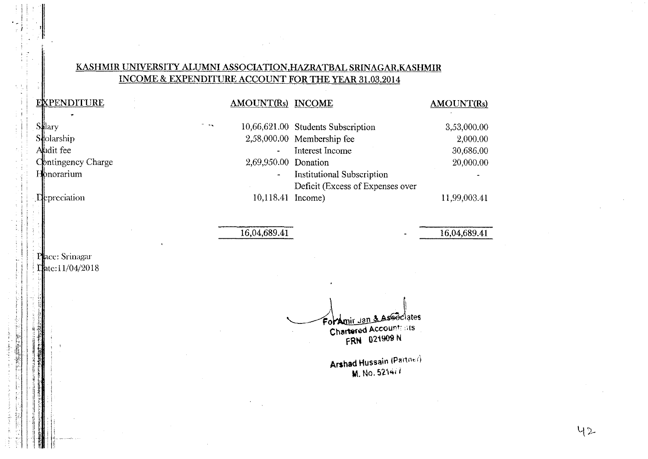### KASHMIR UNIVERSITY ALUMNI ASSOCIATION, HAZRATBAL SRINAGAR, KASHMIR INCOME & EXPENDITURE ACCOUNT FOR THE YEAR 31.03.2014

 $\sim$  14  $\mu$ 

#### EXPENDITURE  $\ddot{}$

| Salary             |
|--------------------|
| Stolarship         |
| Aludit fee         |
| Contingency Charge |
| <b>Honorarium</b>  |

Depreciation

AMOUNT(Rs) INCOME **AMOUNT(Rs)** 10,66,621.00 Students Subscription 3,53,000.00 2,58,000.00 Membership fee 2.000.00 Interest Income 30.686.00 L. 2,69,950.00 Donation 20,000.00 **Institutional Subscription**  $\tilde{\phantom{a}}$ Deficit (Excess of Expenses over 10,118.41 Income) 11,99,003.41

16,04,689.41

16,04,689.41

### Place: Srinagar Eate:11/04/2018

Foramir Jan & Associates **Chartered Account: ats** FRN 021909 N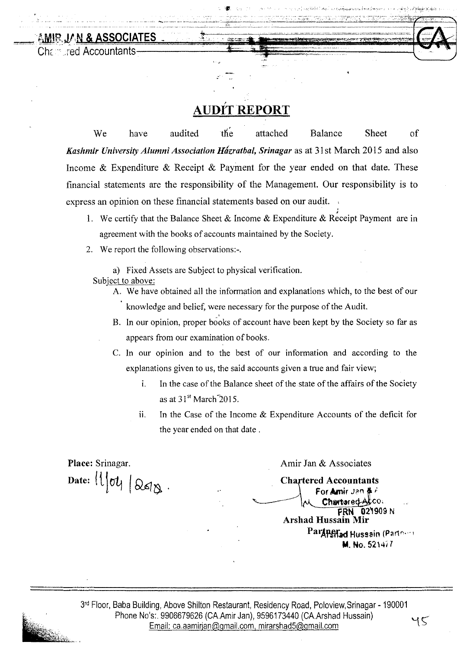AMIR JAN & ASSOCIATES Charaled Accountants

# <u>AUDÍT REPORT</u>

.-

We have audited the attached Balance Sheet of *Kashmir University Alumni Association Házratbal, Srinagar* as at 31st March 2015 and also Income  $\&$  Expenditure  $\&$  Receipt  $\&$  Payment for the year ended on that date. These financial statements are the responsibility of the Management. Our responsibility is to express an opinion on these financial statements based on our audit.

- ; 1. We certify that the Balance Sheet & Income & Expenditure & Receipt Payment are in agreement with the books of accounts maintained by the Society.
- 2. We report the following observations:-.

a) Fixed Assets are Subject to physical verification.

Subject to above:

- A. We have obtained all the information and explanations which, to the best of our knowledge and belief, were necessary for the purpose of the Audit.
- i. B. In our opinion, proper books of account have been kept by the Society so far as appears from our examination of books.
- C. In our opinion and to the best of our information and according to the explanations given to us, the said accounts given a true and fair view;
	- i. In the case of the Balance sheet of the state of the affairs of the Society as at  $31<sup>st</sup>$  March  $2015$ .
	- ii. In the Case of the Income  $\&$  Expenditure Accounts of the deficit for the year ended on that date.

Place: Srinagar. Date:  $||\cdot||$   $\sigma$   $||\otimes$   $\sigma$ Amir Jan & Associates **Chartered Accountants** For Amir Jan # F Chartered ACCO. FRN 02'909 <sup>N</sup> Arshad Hussain Mir Partners Hussain (Partners) M. No. 521417

 $45$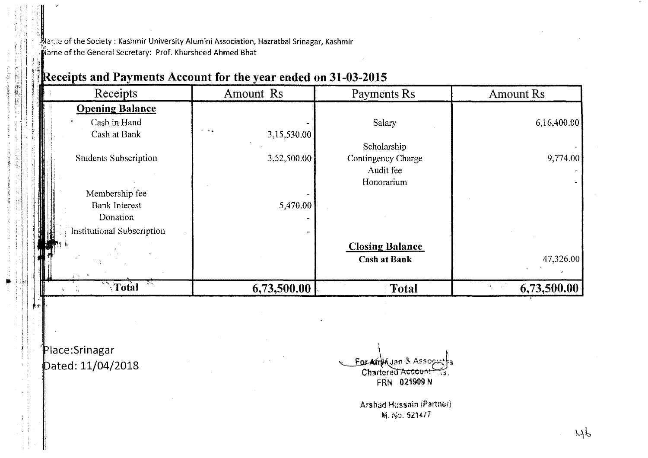t:d~ of the Society: Kashmir University Alumini Association, Hazratbal Srinagar, Kashmir **Alame of the General Secretary: Prof. Khursheed Ahmed Bhat** 

| $\frac{1}{16}$ | <b>Receipts</b>                  | Amount Rs                                  | Payments Rs            | <b>Amount Rs</b> |
|----------------|----------------------------------|--------------------------------------------|------------------------|------------------|
|                | <b>Opening Balance</b>           |                                            |                        |                  |
|                | Cash in Hand                     |                                            | Salary                 | 6,16,400.00      |
|                | Cash at Bank                     | $\sigma = \omega_{\rm min}$<br>3,15,530.00 |                        |                  |
|                |                                  |                                            | Scholarship            |                  |
|                | <b>Students Subscription</b>     | 3,52,500.00                                | Contingency Charge     | 9,774.00         |
|                |                                  |                                            | Audit fee              |                  |
|                |                                  |                                            | Honorarium             |                  |
|                | Membership fee                   |                                            |                        |                  |
|                | <b>Bank Interest</b><br>Donation | 5,470.00                                   |                        |                  |
|                |                                  |                                            |                        |                  |
|                | Institutional Subscription       |                                            |                        |                  |
|                |                                  |                                            | <b>Closing Balance</b> |                  |
|                |                                  |                                            | <b>Cash at Bank</b>    | 47,326.00        |
|                |                                  |                                            |                        |                  |
|                | $\sqrt{\text{Total}}$            | 6,73,500.00                                | <b>Total</b>           | 6,73,500.00      |

# Receipts and Payments Account for the year ended on 31-03-2015

'Place: Srinagar Dated: 11/04/2018

 $~\cdot$   $~\cdot$ 

*h1'''* 

!

i. ÷.

 $\mathbf{I}$ 

 $\cdot$  . ,

·ii  $\frac{1}{2}$  $\tilde{A}^+$ *f* 

For Amid Jan & Asso "- Chartered Accou īέ. FRN 021909 N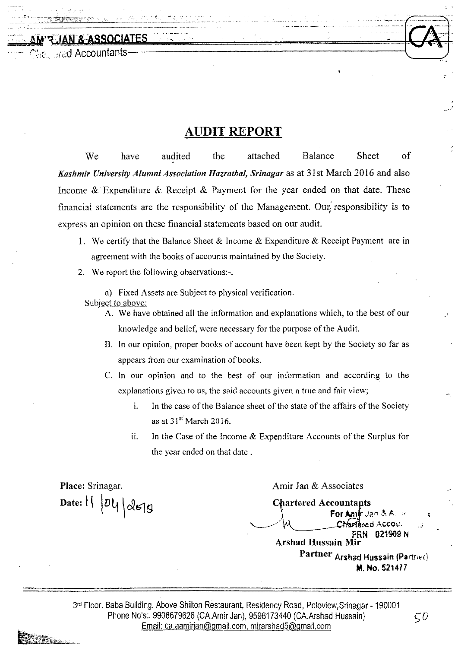್ಕೊ\_್ರಾಂd Accountants-

<u>JAN & ASSOCIATES</u>

# **AUDIT REPORT**

We have audited the attached Balance Sheet of *Kashmir University Alumni Association Hazratbal, Srinagar* as at 31 st March 2016 and also Income & Expenditure & Receipt & Payment for the year ended on that date. These financial statements are the responsibility of the Management. Our responsibility is to express an opinion on these financial statements based on our audit.

- 1. We certify that the Balance Sheet & Income & Expenditure & Receipt Payment are in agreement with the books of accounts maintained by the Society.
- 2. We report the following observations:-.

a) Fixed Assets are Subject to physical verification. Subject to above:

- A. We have obtained all the information and explanations which, to the best of our knowledge and belief, were necessary for the purpose of the Audit.
- B. In our opinion, proper books of account have been kept by the Society so far as appears from our examination of books.
- C. In our opinion and to the best of our information and according to the explanations given to us, the said accounts given a true and fair view;
	- i. In the case of the Balance sheet of the state of the affairs of the Society as at 31st March 2016.
	- ii. In the Case of the Income & Expenditure Accounts of the Surplus for the year ended on that date.

**Place:** Srinagar.  $\mathbf{D}$ ate:  $\left| \right|$  |  $\mathcal{O}\mathcal{U}$ |  $\mathcal{Q}$  $\in$   $\mathcal{G}$ 

Amir Jan & Associates

**Chartered Accountants** For Amir Jan & A. Charlered Accou. FRN 021909 N **Arshad Hussain M** Partner Arshad Hussain (Partner) M. No. 521477

3rd Floor, Baba Building, Above Shilton Restaurant, Residency Road, Poloview,Srinagar - 190001 Phone No's:. 9906679626 (CA.Amir Jan), 9596173440 (CA.Arshad Hussain)  $\zeta$ Email: ca.aamirjan@gmail.com.mirarshad5@gmail.com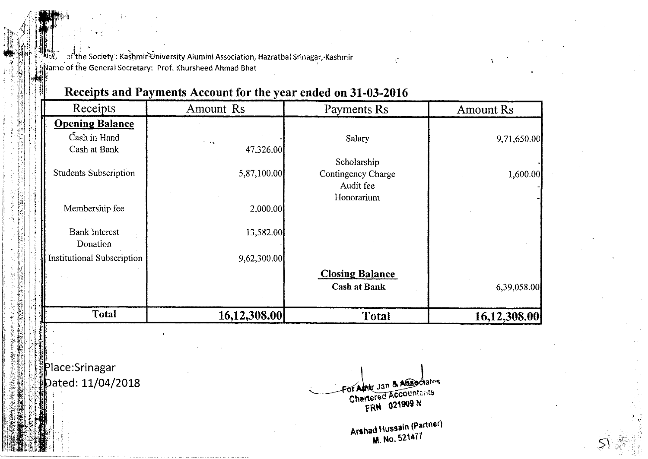ာ<sup>7</sup> the Society : Kashmir University Alumini Association, Hazratbal Srinagar, Kashmir Wame of the General Secretary: Prof. Khursheed Ahmad Bhat

# Receipts and Payments Account for the year ended on 31-03-2016

| Receipts                          | Amount Rs    | Payments Rs                                   | <b>Amount Rs</b> |
|-----------------------------------|--------------|-----------------------------------------------|------------------|
| <b>Opening Balance</b>            |              |                                               |                  |
| Cash in Hand                      | - 44         | Salary                                        | 9,71,650.00      |
| Cash at Bank                      | 47,326.00    |                                               |                  |
|                                   |              | Scholarship                                   |                  |
| <b>Students Subscription</b>      | 5,87,100.00  | Contingency Charge<br>Audit fee<br>Honorarium | 1,600.00         |
| Membership fee                    | 2,000.00     |                                               |                  |
| <b>Bank Interest</b><br>Donation  | 13,582.00    |                                               |                  |
| <b>Institutional Subscription</b> | 9,62,300.00  |                                               |                  |
|                                   |              | <b>Closing Balance</b>                        |                  |
|                                   |              | <b>Cash at Bank</b>                           | 6,39,058.00      |
| <b>Total</b>                      | 16,12,308.00 | <b>Total</b>                                  | 16,12,308.00     |

Place: Srinagar Dated: 11/04/2018

For Aphle Jan & Associates **Chartered Accountants** FRN 021909 N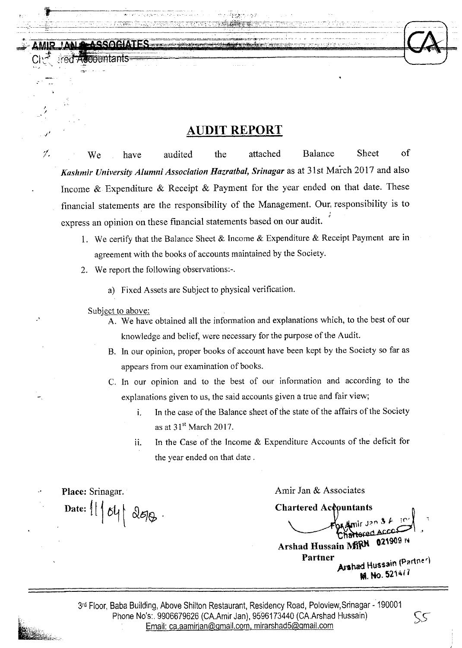# *. I'* **AUDIT REPORT**

 $\%$  We have audited the attached Balance Sheet of *Kashmir University Alumni Association Hazratbal, Srinagar* as at 31 st March 2017 and also Income & Expenditure & Receipt & Payment for the year ended on that date. These financial statements. are the responsibility of the Management. Our, responsibility is to express an opinion on these financial statements based on our audit. ;

- 1. We certify that the Balance Sheet & Income & Expenditure & Receipt Payment are in agreement with the books of accounts maintained by the Society.
- 2. We report the following observations:-.
	- a) Fixed Assets are Subject to physical verification.

#### Subject to above:

, /

*-r,* 

- A. We have obtained all the information and explanations which, to the best of our knowledge and belief, were necessary for the purpose of the Audit.
- B. In our opinion, proper books of account have been kept by the Society so far as appears from our examination of books.
- C. In our opinion and to the best of our information and according to the explanations given to us, the said accounts given a true and fair view;
	- 1. In the case of the Balance sheet of the state of the affairs of the Society as at  $31<sup>st</sup>$  March 2017.
	- ii. In the Case of the Income  $&$  Expenditure Accounts of the deficit for the year ended on that date.

Place: Srinagar. Date:  $11648$ 

Amir Jan & Associates

Chartered Accountants ir Jan  $3 \cancel{k}$  in 021909 N Arshad Hussain MRN Partner<br>**Arshad Hussain (Partner)** . M. No. *52'41*